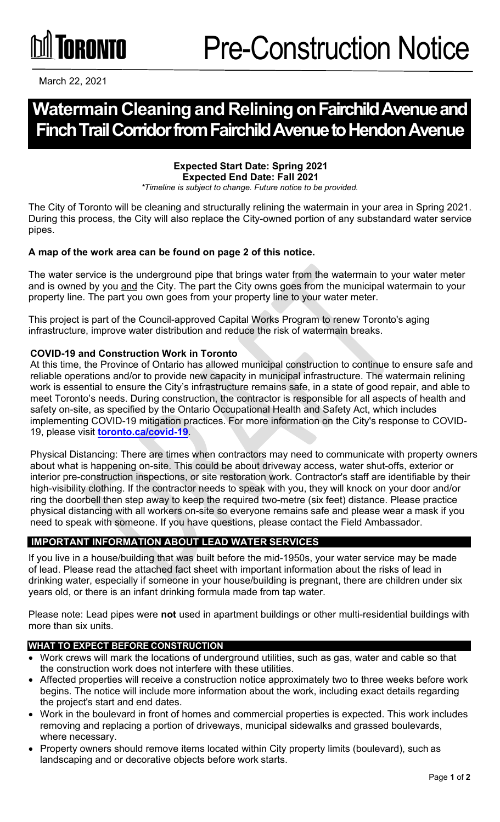# **TORONTO**

March 22, 2021

# **Watermain Cleaningand Reliningon Fairchild Avenue and Finch Trail Corridor from Fairchild Avenue to Hendon Avenue**

#### **Expected Start Date: Spring 2021 Expected End Date: Fall 2021**

*\*Timeline is subject to change. Future notice to be provided.*

The City of Toronto will be cleaning and structurally relining the watermain in your area in Spring 2021. During this process, the City will also replace the City-owned portion of any substandard water service pipes.

#### **A map of the work area can be found on page 2 of this notice.**

The water service is the underground pipe that brings water from the watermain to your water meter and is owned by you and the City. The part the City owns goes from the municipal watermain to your property line. The part you own goes from your property line to your water meter.

This project is part of the Council-approved Capital Works Program to renew Toronto's aging infrastructure, improve water distribution and reduce the risk of watermain breaks.

#### **COVID-19 and Construction Work in Toronto**

At this time, the Province of Ontario has allowed municipal construction to continue to ensure safe and reliable operations and/or to provide new capacity in municipal infrastructure. The watermain relining work is essential to ensure the City's infrastructure remains safe, in a state of good repair, and able to meet Toronto's needs. During construction, the contractor is responsible for all aspects of health and safety on-site, as specified by the Ontario Occupational Health and Safety Act, which includes implementing COVID-19 mitigation practices. For more information on the City's response to COVID-19, please visit **[toronto.ca/covid-19](http://toronto.ca/covid-19)**.

Physical Distancing: There are times when contractors may need to communicate with property owners about what is happening on-site. This could be about driveway access, water shut-offs, exterior or interior pre-construction inspections, or site restoration work. Contractor's staff are identifiable by their high-visibility clothing. If the contractor needs to speak with you, they will knock on your door and/or ring the doorbell then step away to keep the required two-metre (six feet) distance. Please practice physical distancing with all workers on-site so everyone remains safe and please wear a mask if you need to speak with someone. If you have questions, please contact the Field Ambassador.

## **IMPORTANT INFORMATION ABOUT LEAD WATER SERVICES**

If you live in a house/building that was built before the mid-1950s, your water service may be made of lead. Please read the attached fact sheet with important information about the risks of lead in drinking water, especially if someone in your house/building is pregnant, there are children under six years old, or there is an infant drinking formula made from tap water.

Please note: Lead pipes were **not** used in apartment buildings or other multi-residential buildings with more than six units.

### **WHAT TO EXPECT BEFORE CONSTRUCTION**

- Work crews will mark the locations of underground utilities, such as gas, water and cable so that the construction work does not interfere with these utilities.
- Affected properties will receive a construction notice approximately two to three weeks before work begins. The notice will include more information about the work, including exact details regarding the project's start and end dates.
- Work in the boulevard in front of homes and commercial properties is expected. This work includes removing and replacing a portion of driveways, municipal sidewalks and grassed boulevards, where necessary.
- Property owners should remove items located within City property limits (boulevard), such as landscaping and or decorative objects before work starts.